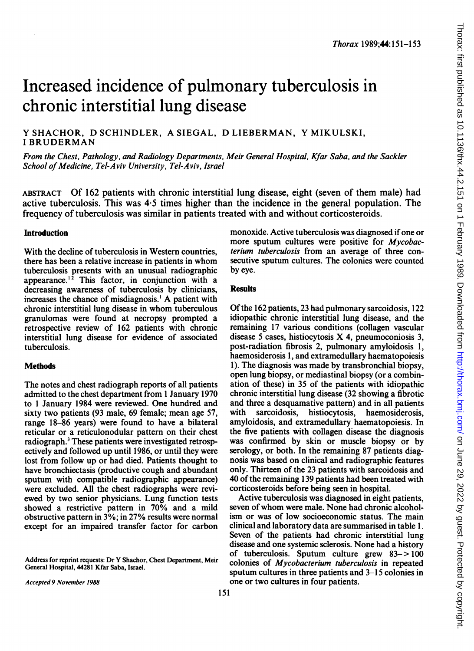# Increased incidence of pulmonary tuberculosis in chronic interstitial lung disease

Y SHACHOR, D SCHINDLER, A SIEGAL, D LIEBERMAN, Y MIKULSKI, <sup>I</sup> BRUDERMAN

From the Chest, Pathology, and Radiology Departments, Meir General Hospital, Kfar Saba, and the Sackler School of Medicine, Tel-Aviv University, Tel-Aviv, Israel

ABSTRACT Of 162 patients with chronic interstitial lung disease, eight (seven of them male) had active tuberculosis. This was 4-5 times higher than the incidence in the general population. The frequency of tuberculosis was similar in patients treated with and without corticosteroids.

## Introduction

With the decline of tuberculosis in Western countries, there has been <sup>a</sup> relative increase in patients in whom tuberculosis presents with an unusual radiographic appearance.<sup> $1^2$ </sup> This factor, in conjunction with a decreasing awareness of tuberculosis by clinicians, increases the chance of misdiagnosis.' A patient with chronic interstitial lung disease in whom tuberculous granulomas were found at necropsy prompted a retrospective review of 162 patients with chronic interstitial lung disease for evidence of associated tuberculosis.

### **Methods**

The notes and chest radiograph reports of all patients admitted to the chest department from <sup>1</sup> January 1970 to <sup>1</sup> January 1984 were reviewed. One hundred and sixty two patients (93 male, 69 female; mean age 57, range 18-86 years) were found to have a bilateral reticular or a reticulonodular pattern on their chest radiograph.3 These patients were investigated retrospectively and followed up until 1986, or until they were lost from follow up or had died. Patients thought to have bronchiectasis (productive cough and abundant sputum with compatible radiographic appearance) were excluded. All the chest radiographs were reviewed by two senior physicians. Lung function tests showed a restrictive pattern in 70% and a mild obstructive pattern in 3%; in 27% results were normal except for an impaired transfer factor for carbon

Address for reprint requests: Dr Y Shachor, Chest Department, Meir General Hospital, 44281 Kfar Saba, Israel.

monoxide. Active tuberculosis was diagnosed if one or more sputum cultures were positive for *Mycobac*terium tuberculosis from an average of three consecutive sputum cultures. The colonies were counted by eye.

#### **Results**

Of the 162 patients, 23 had pulmonary sarcoidosis, 122 idiopathic chronic interstitial lung disease, and the remaining 17 various conditions (collagen vascular disease <sup>5</sup> cases, histiocytosis X 4, pneumoconiosis 3, post-radiation fibrosis 2, pulmonary amyloidosis 1, haemosiderosis 1, and extramedullary haematopoiesis 1). The diagnosis was made by transbronchial biopsy, open lung biopsy, or mediastinal biopsy (or a combination of these) in 35 of the patients with idiopathic chronic interstitial lung disease (32 showing a fibrotic and three a desquamative pattern) and in all patients with sarcoidosis, histiocytosis, haemosiderosis, amyloidosis, and extramedullary haematopoiesis. In the five patients with collagen disease the diagnosis was confirmed by skin or muscle biopsy or by serology, or both. In the remaining 87 patients diagnosis was based on clinical and radiographic features only. Thirteen of the 23 patients with sarcoidosis and 40 of the remaining 139 patients had been treated with corticosteroids before being seen in hospital.

Active tuberculosis was diagnosed in eight patients, seven of whom were male. None had chronic alcoholism or was of low socioeconomic status. The main clinical and laboratory data are summarised in table 1. Seven of the patients had chronic interstitial lung disease and one systemic sclerosis. None had a history of tuberculosis. Sputum culture grew 83-> 100 colonies of Mycobacterium tuberculosis in repeated sputum cultures in three patients and 3-15 colonies in one or two cultures in four patients.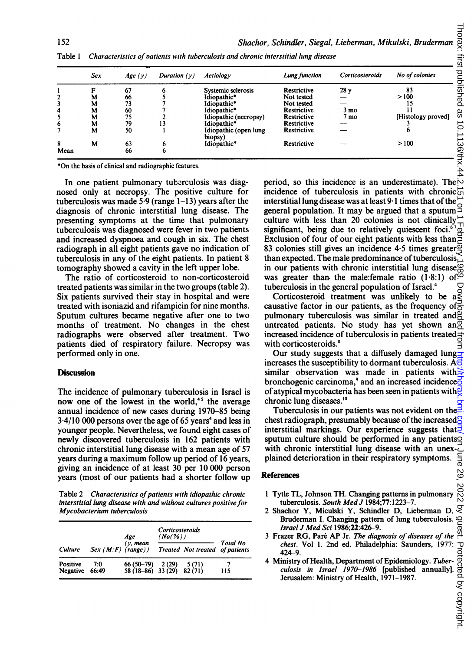|      | Sex | Age(y) | Duration $(y)$ | Aetiology                        | Lung function | Corticosteroids | No of colonies     |
|------|-----|--------|----------------|----------------------------------|---------------|-----------------|--------------------|
|      | F   | 67     |                | Systemic sclerosis               | Restrictive   | 28y             | 83                 |
|      | М   | 66     |                | Idiopathic*                      | Not tested    |                 | >100               |
|      | м   | 73     |                | Idiopathic*                      | Not tested    |                 |                    |
| 4    | М   | 60     |                | Idiopathic*                      | Restrictive   | 3 mo            |                    |
|      | M   | 75     |                | Idiopathic (necropsy)            | Restrictive   | 7 mo            | [Histology proved] |
| 6    | M   | 79     |                | Idiopathic*                      | Restrictive   |                 |                    |
|      | M   | 50     |                | Idiopathic (open lung<br>biopsy) | Restrictive   |                 |                    |
| 8    | M   | 63     |                | Idiopathic*                      | Restrictive   |                 | >100               |
| Mean |     | 66     | o              |                                  |               |                 |                    |

Table 1 Characteristics of natients with tuberculosis and chronic interstitial lung disease

\*On the basis of clinical and radiographic features.

In one patient pulmonary tuberculosis was diagnosed only at necropsy. The positive culture for tuberculosis was made  $5.9$  (range  $1-13$ ) years after the diagnosis of chronic interstitial lung disease. The presenting symptoms at the time that pulmonary tuberculosis was diagnosed were fever in two patients and increased dyspnoea and cough in six. The chest radiograph in all eight patients gave no indication of tuberculosis in any of the eight patients. In patient 8 tomography showed a cavity in the left upper lobe.

The ratio of corticosteroid to non-corticosteroid treated patients was similar in the two groups (table 2). Six patients survived their stay in hospital and were treated with isoniazid and rifampicin for nine months. Sputum cultures became negative after one to two months of treatment. No changes in the chest radiographs were observed after treatment. Two patients died of respiratory failure. Necropsy was performed only in one.

## **Discussion**

The incidence of pulmonary tuberculosis in Israel is now one of the lowest in the world,<sup>45</sup> the average annual incidence of new cases during 1970-85 being  $3.4/10$  000 persons over the age of 65 years<sup>4</sup> and less in younger people. Nevertheless, we found eight cases of newly discovered tuberculosis in 162 patients with chronic interstitial lung disease with a mean age of 57 years during a maximum follow up period of 16 years, giving an incidence of at least 30 per 10 000 person years (most of our patients had a shorter follow up

Table 2 Characteristics of patients with idiopathic chronic interstitial lung disease with and without cultures positive for Mycobacterium tuberculosis

|                      |                     | Age<br>$(y, \text{mean})$                              | Corticosteroids<br>(No(%) |                                 |                 |
|----------------------|---------------------|--------------------------------------------------------|---------------------------|---------------------------------|-----------------|
| Culture              | $Sex(M:F)$ (range)) |                                                        |                           | Treated Not treated of patients | <b>Total No</b> |
| Positive<br>Negative | 7:0<br>66:49        | 66 (50-79) 2 (29) 5 (71)<br>58 (18-86) 33 (29) 82 (71) |                           |                                 | 115             |

period, so this incidence is an underestimate). The  $\sim$ incidence of tuberculosis in patients with chronic  $\vec{c}$ interstitial lung disease was at least 9.1 times that of the  $\overline{z}$ general population. It may be argued that a sputum  $\frac{3}{2}$ culture with less than 20 colonies is not clinically significant, being due to relatively quiescent foci.<sup>67</sup> Exclusion of four of our eight patients with less than  $\geq$ 83 colonies still gives an incidence 4.5 times greater $\frac{\overline{0}}{2}$ than expected. The male predominance of tuberculosis in our patients with chronic interstitial lung disease<sup>99</sup> was greater than the male: female ratio  $(1.8.1)$  of  $\ddot{\circ}$ tuberculosis in the general population of Israel.4 U

Corticosteroid treatment was unlikely to be  $a \leq$ causative factor in our patients, as the frequency of  $\frac{3}{6}$ pulmonary tuberculosis was similar in treated and  $\frac{N}{C}$ untreated patients. No study has yet shown an increased incidence of tuberculosis in patients treated with corticosteroids.<sup>8</sup>

Our study suggests that a diffusely damaged lung increases the susceptibility to dormant tuberculosis.  $A_{\overline{5}}$ similar observation was made in patients with bronchogenic carcinoma,<sup>9</sup> and an increased incidence $\frac{1}{6}$ ofatypical mycobacteria has been seen in patients with chronic lung diseases.<sup>10</sup>

Tuberculosis in our patients was not evident on the  $\exists$ chest radiograph, presumably because of the increased interstitial markings. Our experience suggests that  $\exists$ sputum culture should be performed in any patientsq with chronic interstitial lung disease with an unexplained deterioration in their respiratory symptoms. а≊

## References

- 2022 <sup>1</sup> Tytle TL, Johnson TH. Changing patterns in pulmonary tuberculosis. South Med J 1984;77:1223-7.
- ğ 2 Shachor Y, Miculski Y, Schindler D, Lieberman D, Bruderman I. Changing pattern of lung tuberculosis. ല്പ Israel J Med Sci 1986;22:426-9.
- chest. Vol 1. 2nd ed. Philadelphia: Saunders, 1977: 424-9.
- Strael J Med Sci 1986; 22:426-9.<br>
3 Frazer RG, Paré AP Jr. The diagnosis of diseases of the chest.<br>
224-9.<br>
424-9.<br>
424-9.<br>
4 Ministry of Health, Department of Epidemiology. Tuber-<br>
culosis in Israel 1970-1986 [published 4 Ministry of Health, Department of Epidemiology. Tuberculosis in Israel 1970-1986 [published annually]. Jerusalem: Ministry of Health, 1971-1987.

82